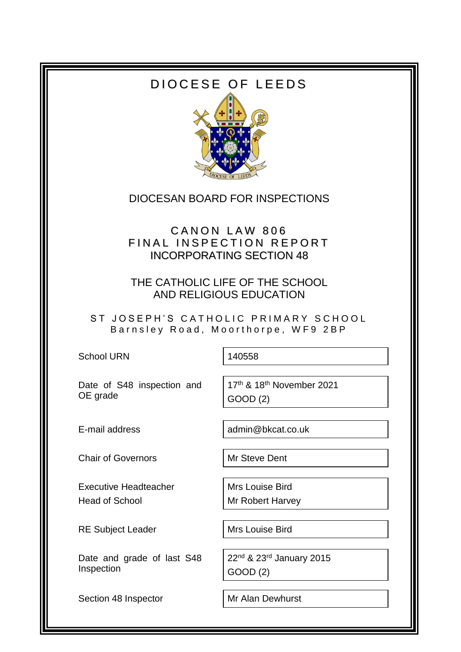# DIOCESE OF LEEDS



### DIOCESAN BOARD FOR INSPECTIONS

## CANON LAW 806 FINAL INSPECTION REPORT INCORPORATING SECTION 48

THE CATHOLIC LIFE OF THE SCHOOL AND RELIGIOUS EDUCATION

ST JOSEPH'S CATHOLIC PRIMARY SCHOOL Barnsley Road, Moorthorpe, WF9 2BP

School URN 140558

Date of S48 inspection and OE grade

17th & 18th November 2021 GOOD (2)

Chair of Governors Mr Steve Dent

Executive Headteacher Head of School

RE Subject Leader Mrs Louise Bird

Date and grade of last S48 Inspection

Section 48 Inspector Mr Alan Dewhurst

E-mail address and admin@bkcat.co.uk

Mrs Louise Bird Mr Robert Harvey

22<sup>nd</sup> & 23<sup>rd</sup> January 2015 GOOD (2)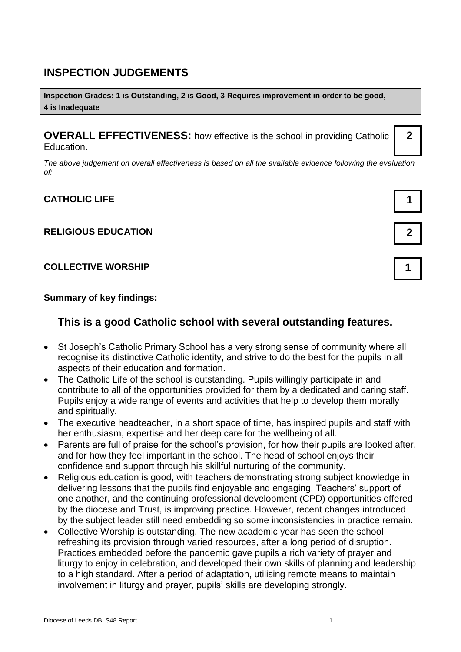### **INSPECTION JUDGEMENTS**

**Inspection Grades: 1 is Outstanding, 2 is Good, 3 Requires improvement in order to be good, 4 is Inadequate**

**OVERALL EFFECTIVENESS:** how effective is the school in providing Catholic Education.

*The above judgement on overall effectiveness is based on all the available evidence following the evaluation of:*

#### **CATHOLIC LIFE 1**

#### **RELIGIOUS EDUCATION 2**

#### **COLLECTIVE WORSHIP 1**

#### **Summary of key findings:**

### **This is a good Catholic school with several outstanding features.**

- St Joseph's Catholic Primary School has a very strong sense of community where all recognise its distinctive Catholic identity, and strive to do the best for the pupils in all aspects of their education and formation.
- The Catholic Life of the school is outstanding. Pupils willingly participate in and contribute to all of the opportunities provided for them by a dedicated and caring staff. Pupils enjoy a wide range of events and activities that help to develop them morally and spiritually.
- The executive headteacher, in a short space of time, has inspired pupils and staff with her enthusiasm, expertise and her deep care for the wellbeing of all.
- Parents are full of praise for the school's provision, for how their pupils are looked after, and for how they feel important in the school. The head of school enjoys their confidence and support through his skillful nurturing of the community.
- Religious education is good, with teachers demonstrating strong subject knowledge in delivering lessons that the pupils find enjoyable and engaging. Teachers' support of one another, and the continuing professional development (CPD) opportunities offered by the diocese and Trust, is improving practice. However, recent changes introduced by the subject leader still need embedding so some inconsistencies in practice remain.
- Collective Worship is outstanding. The new academic year has seen the school refreshing its provision through varied resources, after a long period of disruption. Practices embedded before the pandemic gave pupils a rich variety of prayer and liturgy to enjoy in celebration, and developed their own skills of planning and leadership to a high standard. After a period of adaptation, utilising remote means to maintain involvement in liturgy and prayer, pupils' skills are developing strongly.



**2**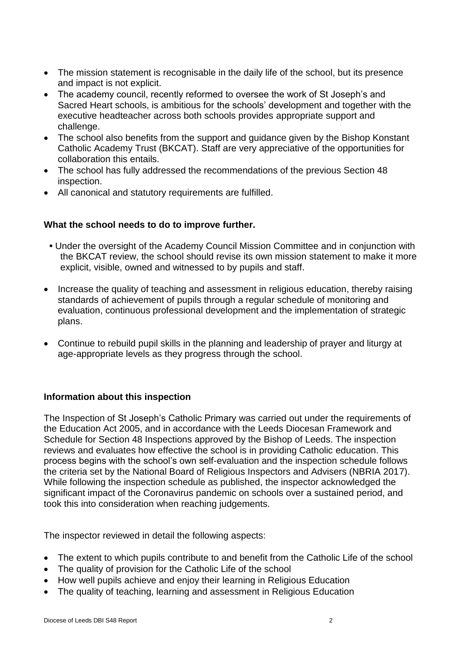- The mission statement is recognisable in the daily life of the school, but its presence and impact is not explicit.
- The academy council, recently reformed to oversee the work of St Joseph's and Sacred Heart schools, is ambitious for the schools' development and together with the executive headteacher across both schools provides appropriate support and challenge.
- The school also benefits from the support and guidance given by the Bishop Konstant Catholic Academy Trust (BKCAT). Staff are very appreciative of the opportunities for collaboration this entails.
- The school has fully addressed the recommendations of the previous Section 48 inspection.
- All canonical and statutory requirements are fulfilled.

#### **What the school needs to do to improve further.**

- Under the oversight of the Academy Council Mission Committee and in conjunction with the BKCAT review, the school should revise its own mission statement to make it more explicit, visible, owned and witnessed to by pupils and staff.
- Increase the quality of teaching and assessment in religious education, thereby raising standards of achievement of pupils through a regular schedule of monitoring and evaluation, continuous professional development and the implementation of strategic plans.
- Continue to rebuild pupil skills in the planning and leadership of prayer and liturgy at age-appropriate levels as they progress through the school.

#### **Information about this inspection**

The Inspection of St Joseph's Catholic Primary was carried out under the requirements of the Education Act 2005, and in accordance with the Leeds Diocesan Framework and Schedule for Section 48 Inspections approved by the Bishop of Leeds. The inspection reviews and evaluates how effective the school is in providing Catholic education. This process begins with the school's own self-evaluation and the inspection schedule follows the criteria set by the National Board of Religious Inspectors and Advisers (NBRIA 2017). While following the inspection schedule as published, the inspector acknowledged the significant impact of the Coronavirus pandemic on schools over a sustained period, and took this into consideration when reaching judgements.

The inspector reviewed in detail the following aspects:

- The extent to which pupils contribute to and benefit from the Catholic Life of the school
- The quality of provision for the Catholic Life of the school
- How well pupils achieve and enjoy their learning in Religious Education
- The quality of teaching, learning and assessment in Religious Education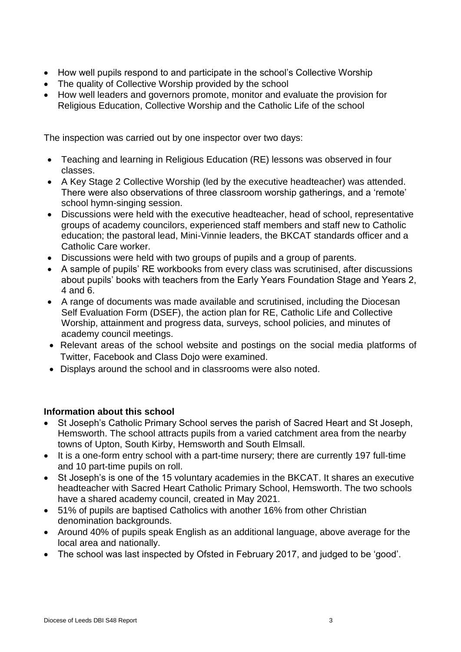- How well pupils respond to and participate in the school's Collective Worship
- The quality of Collective Worship provided by the school
- How well leaders and governors promote, monitor and evaluate the provision for Religious Education, Collective Worship and the Catholic Life of the school

The inspection was carried out by one inspector over two days:

- Teaching and learning in Religious Education (RE) lessons was observed in four classes.
- A Key Stage 2 Collective Worship (led by the executive headteacher) was attended. There were also observations of three classroom worship gatherings, and a 'remote' school hymn-singing session.
- Discussions were held with the executive headteacher, head of school, representative groups of academy councilors, experienced staff members and staff new to Catholic education; the pastoral lead, Mini-Vinnie leaders, the BKCAT standards officer and a Catholic Care worker.
- Discussions were held with two groups of pupils and a group of parents.
- A sample of pupils' RE workbooks from every class was scrutinised, after discussions about pupils' books with teachers from the Early Years Foundation Stage and Years 2, 4 and 6.
- A range of documents was made available and scrutinised, including the Diocesan Self Evaluation Form (DSEF), the action plan for RE, Catholic Life and Collective Worship, attainment and progress data, surveys, school policies, and minutes of academy council meetings.
- Relevant areas of the school website and postings on the social media platforms of Twitter, Facebook and Class Dojo were examined.
- Displays around the school and in classrooms were also noted.

#### **Information about this school**

- St Joseph's Catholic Primary School serves the parish of Sacred Heart and St Joseph, Hemsworth. The school attracts pupils from a varied catchment area from the nearby towns of Upton, South Kirby, Hemsworth and South Elmsall.
- It is a one-form entry school with a part-time nursery; there are currently 197 full-time and 10 part-time pupils on roll.
- St Joseph's is one of the 15 voluntary academies in the BKCAT. It shares an executive headteacher with Sacred Heart Catholic Primary School, Hemsworth. The two schools have a shared academy council, created in May 2021.
- 51% of pupils are baptised Catholics with another 16% from other Christian denomination backgrounds.
- Around 40% of pupils speak English as an additional language, above average for the local area and nationally.
- The school was last inspected by Ofsted in February 2017, and judged to be 'good'.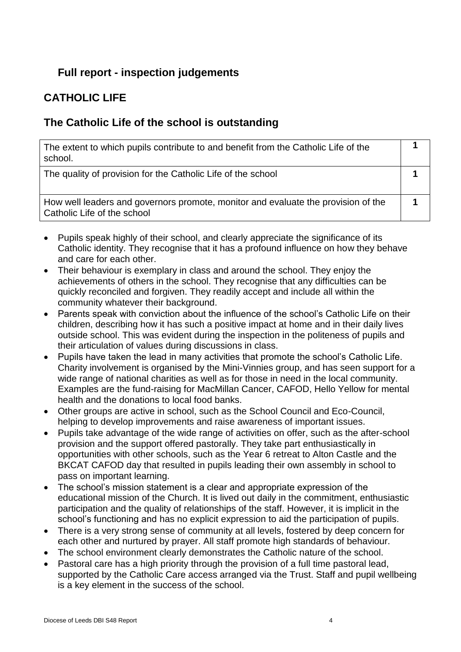## **Full report - inspection judgements**

# **CATHOLIC LIFE**

### **The Catholic Life of the school is outstanding**

| The extent to which pupils contribute to and benefit from the Catholic Life of the<br>school.                    |  |
|------------------------------------------------------------------------------------------------------------------|--|
| The quality of provision for the Catholic Life of the school                                                     |  |
| How well leaders and governors promote, monitor and evaluate the provision of the<br>Catholic Life of the school |  |

- Pupils speak highly of their school, and clearly appreciate the significance of its Catholic identity. They recognise that it has a profound influence on how they behave and care for each other.
- Their behaviour is exemplary in class and around the school. They enjoy the achievements of others in the school. They recognise that any difficulties can be quickly reconciled and forgiven. They readily accept and include all within the community whatever their background.
- Parents speak with conviction about the influence of the school's Catholic Life on their children, describing how it has such a positive impact at home and in their daily lives outside school. This was evident during the inspection in the politeness of pupils and their articulation of values during discussions in class.
- Pupils have taken the lead in many activities that promote the school's Catholic Life. Charity involvement is organised by the Mini-Vinnies group, and has seen support for a wide range of national charities as well as for those in need in the local community. Examples are the fund-raising for MacMillan Cancer, CAFOD, Hello Yellow for mental health and the donations to local food banks.
- Other groups are active in school, such as the School Council and Eco-Council, helping to develop improvements and raise awareness of important issues.
- Pupils take advantage of the wide range of activities on offer, such as the after-school provision and the support offered pastorally. They take part enthusiastically in opportunities with other schools, such as the Year 6 retreat to Alton Castle and the BKCAT CAFOD day that resulted in pupils leading their own assembly in school to pass on important learning.
- The school's mission statement is a clear and appropriate expression of the educational mission of the Church. It is lived out daily in the commitment, enthusiastic participation and the quality of relationships of the staff. However, it is implicit in the school's functioning and has no explicit expression to aid the participation of pupils.
- There is a very strong sense of community at all levels, fostered by deep concern for each other and nurtured by prayer. All staff promote high standards of behaviour.
- The school environment clearly demonstrates the Catholic nature of the school.
- Pastoral care has a high priority through the provision of a full time pastoral lead, supported by the Catholic Care access arranged via the Trust. Staff and pupil wellbeing is a key element in the success of the school.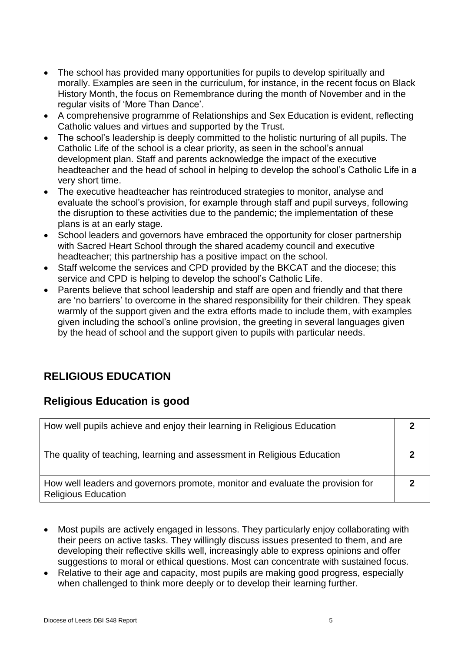- The school has provided many opportunities for pupils to develop spiritually and morally. Examples are seen in the curriculum, for instance, in the recent focus on Black History Month, the focus on Remembrance during the month of November and in the regular visits of 'More Than Dance'.
- A comprehensive programme of Relationships and Sex Education is evident, reflecting Catholic values and virtues and supported by the Trust.
- The school's leadership is deeply committed to the holistic nurturing of all pupils. The Catholic Life of the school is a clear priority, as seen in the school's annual development plan. Staff and parents acknowledge the impact of the executive headteacher and the head of school in helping to develop the school's Catholic Life in a very short time.
- The executive headteacher has reintroduced strategies to monitor, analyse and evaluate the school's provision, for example through staff and pupil surveys, following the disruption to these activities due to the pandemic; the implementation of these plans is at an early stage.
- School leaders and governors have embraced the opportunity for closer partnership with Sacred Heart School through the shared academy council and executive headteacher; this partnership has a positive impact on the school.
- Staff welcome the services and CPD provided by the BKCAT and the diocese; this service and CPD is helping to develop the school's Catholic Life.
- Parents believe that school leadership and staff are open and friendly and that there are 'no barriers' to overcome in the shared responsibility for their children. They speak warmly of the support given and the extra efforts made to include them, with examples given including the school's online provision, the greeting in several languages given by the head of school and the support given to pupils with particular needs.

# **RELIGIOUS EDUCATION**

### **Religious Education is good**

| How well pupils achieve and enjoy their learning in Religious Education                                      |  |
|--------------------------------------------------------------------------------------------------------------|--|
| The quality of teaching, learning and assessment in Religious Education                                      |  |
| How well leaders and governors promote, monitor and evaluate the provision for<br><b>Religious Education</b> |  |

- Most pupils are actively engaged in lessons. They particularly enjoy collaborating with their peers on active tasks. They willingly discuss issues presented to them, and are developing their reflective skills well, increasingly able to express opinions and offer suggestions to moral or ethical questions. Most can concentrate with sustained focus.
- Relative to their age and capacity, most pupils are making good progress, especially when challenged to think more deeply or to develop their learning further.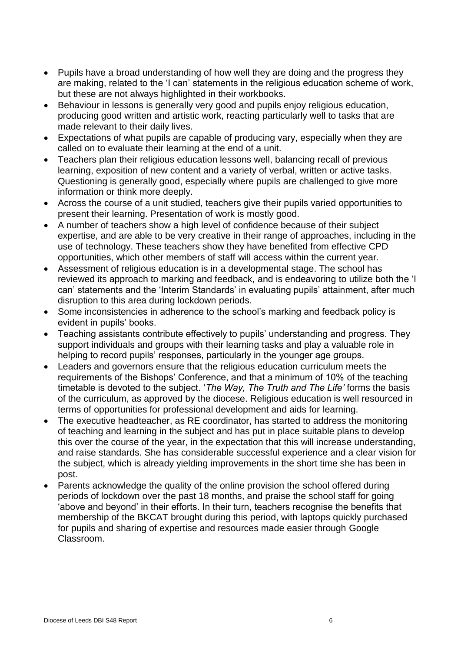- Pupils have a broad understanding of how well they are doing and the progress they are making, related to the 'I can' statements in the religious education scheme of work, but these are not always highlighted in their workbooks.
- Behaviour in lessons is generally very good and pupils enjoy religious education, producing good written and artistic work, reacting particularly well to tasks that are made relevant to their daily lives.
- Expectations of what pupils are capable of producing vary, especially when they are called on to evaluate their learning at the end of a unit.
- Teachers plan their religious education lessons well, balancing recall of previous learning, exposition of new content and a variety of verbal, written or active tasks. Questioning is generally good, especially where pupils are challenged to give more information or think more deeply.
- Across the course of a unit studied, teachers give their pupils varied opportunities to present their learning. Presentation of work is mostly good.
- A number of teachers show a high level of confidence because of their subject expertise, and are able to be very creative in their range of approaches, including in the use of technology. These teachers show they have benefited from effective CPD opportunities, which other members of staff will access within the current year.
- Assessment of religious education is in a developmental stage. The school has reviewed its approach to marking and feedback, and is endeavoring to utilize both the 'I can' statements and the 'Interim Standards' in evaluating pupils' attainment, after much disruption to this area during lockdown periods.
- Some inconsistencies in adherence to the school's marking and feedback policy is evident in pupils' books.
- Teaching assistants contribute effectively to pupils' understanding and progress. They support individuals and groups with their learning tasks and play a valuable role in helping to record pupils' responses, particularly in the younger age groups.
- Leaders and governors ensure that the religious education curriculum meets the requirements of the Bishops' Conference, and that a minimum of 10% of the teaching timetable is devoted to the subject. '*The Way, The Truth and The Life'* forms the basis of the curriculum, as approved by the diocese. Religious education is well resourced in terms of opportunities for professional development and aids for learning.
- The executive headteacher, as RE coordinator, has started to address the monitoring of teaching and learning in the subject and has put in place suitable plans to develop this over the course of the year, in the expectation that this will increase understanding, and raise standards. She has considerable successful experience and a clear vision for the subject, which is already yielding improvements in the short time she has been in post.
- Parents acknowledge the quality of the online provision the school offered during periods of lockdown over the past 18 months, and praise the school staff for going 'above and beyond' in their efforts. In their turn, teachers recognise the benefits that membership of the BKCAT brought during this period, with laptops quickly purchased for pupils and sharing of expertise and resources made easier through Google Classroom.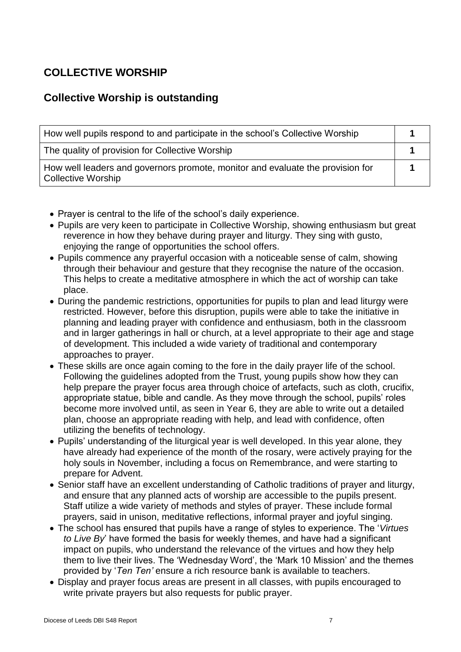## **COLLECTIVE WORSHIP**

## **Collective Worship is outstanding**

| How well pupils respond to and participate in the school's Collective Worship                               |  |
|-------------------------------------------------------------------------------------------------------------|--|
| The quality of provision for Collective Worship                                                             |  |
| How well leaders and governors promote, monitor and evaluate the provision for<br><b>Collective Worship</b> |  |

- Prayer is central to the life of the school's daily experience.
- Pupils are very keen to participate in Collective Worship, showing enthusiasm but great reverence in how they behave during prayer and liturgy. They sing with gusto, enjoying the range of opportunities the school offers.
- Pupils commence any prayerful occasion with a noticeable sense of calm, showing through their behaviour and gesture that they recognise the nature of the occasion. This helps to create a meditative atmosphere in which the act of worship can take place.
- During the pandemic restrictions, opportunities for pupils to plan and lead liturgy were restricted. However, before this disruption, pupils were able to take the initiative in planning and leading prayer with confidence and enthusiasm, both in the classroom and in larger gatherings in hall or church, at a level appropriate to their age and stage of development. This included a wide variety of traditional and contemporary approaches to prayer.
- These skills are once again coming to the fore in the daily prayer life of the school. Following the guidelines adopted from the Trust, young pupils show how they can help prepare the prayer focus area through choice of artefacts, such as cloth, crucifix, appropriate statue, bible and candle. As they move through the school, pupils' roles become more involved until, as seen in Year 6, they are able to write out a detailed plan, choose an appropriate reading with help, and lead with confidence, often utilizing the benefits of technology.
- Pupils' understanding of the liturgical year is well developed. In this year alone, they have already had experience of the month of the rosary, were actively praying for the holy souls in November, including a focus on Remembrance, and were starting to prepare for Advent.
- Senior staff have an excellent understanding of Catholic traditions of prayer and liturgy, and ensure that any planned acts of worship are accessible to the pupils present. Staff utilize a wide variety of methods and styles of prayer. These include formal prayers, said in unison, meditative reflections, informal prayer and joyful singing.
- The school has ensured that pupils have a range of styles to experience. The '*Virtues to Live By*' have formed the basis for weekly themes, and have had a significant impact on pupils, who understand the relevance of the virtues and how they help them to live their lives. The 'Wednesday Word', the 'Mark 10 Mission' and the themes provided by '*Ten Ten'* ensure a rich resource bank is available to teachers.
- Display and prayer focus areas are present in all classes, with pupils encouraged to write private prayers but also requests for public prayer.